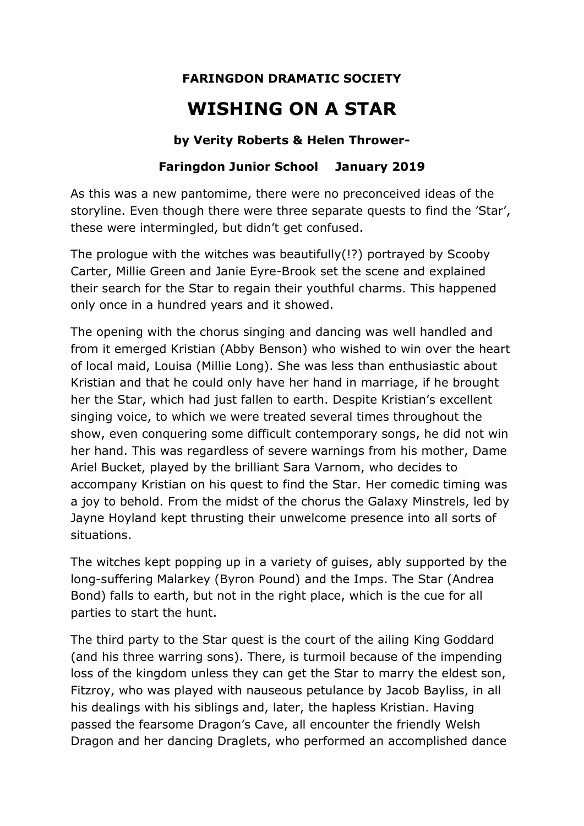## **FARINGDON DRAMATIC SOCIETY**

## **WISHING ON A STAR**

## **by Verity Roberts & Helen Thrower-**

## **Faringdon Junior School January 2019**

As this was a new pantomime, there were no preconceived ideas of the storyline. Even though there were three separate quests to find the 'Star', these were intermingled, but didn't get confused.

The prologue with the witches was beautifully(!?) portrayed by Scooby Carter, Millie Green and Janie Eyre-Brook set the scene and explained their search for the Star to regain their youthful charms. This happened only once in a hundred years and it showed.

The opening with the chorus singing and dancing was well handled and from it emerged Kristian (Abby Benson) who wished to win over the heart of local maid, Louisa (Millie Long). She was less than enthusiastic about Kristian and that he could only have her hand in marriage, if he brought her the Star, which had just fallen to earth. Despite Kristian's excellent singing voice, to which we were treated several times throughout the show, even conquering some difficult contemporary songs, he did not win her hand. This was regardless of severe warnings from his mother, Dame Ariel Bucket, played by the brilliant Sara Varnom, who decides to accompany Kristian on his quest to find the Star. Her comedic timing was a joy to behold. From the midst of the chorus the Galaxy Minstrels, led by Jayne Hoyland kept thrusting their unwelcome presence into all sorts of situations.

The witches kept popping up in a variety of guises, ably supported by the long-suffering Malarkey (Byron Pound) and the Imps. The Star (Andrea Bond) falls to earth, but not in the right place, which is the cue for all parties to start the hunt.

The third party to the Star quest is the court of the ailing King Goddard (and his three warring sons). There, is turmoil because of the impending loss of the kingdom unless they can get the Star to marry the eldest son, Fitzroy, who was played with nauseous petulance by Jacob Bayliss, in all his dealings with his siblings and, later, the hapless Kristian. Having passed the fearsome Dragon's Cave, all encounter the friendly Welsh Dragon and her dancing Draglets, who performed an accomplished dance